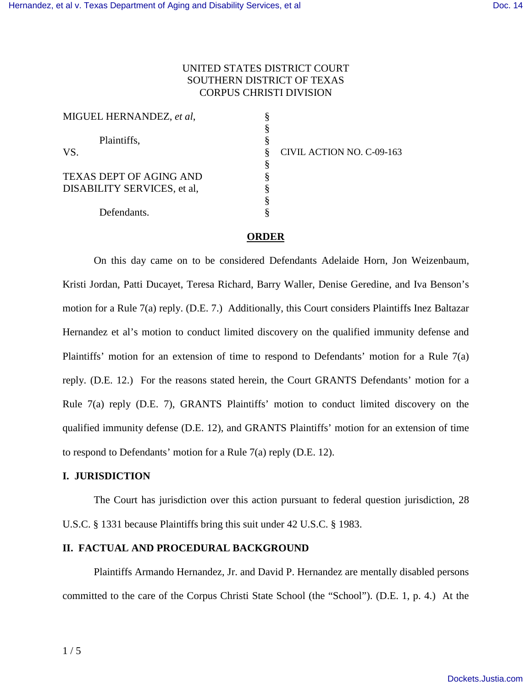## UNITED STATES DISTRICT COURT SOUTHERN DISTRICT OF TEXAS CORPUS CHRISTI DIVISION

| MIGUEL HERNANDEZ, et al,       |  |
|--------------------------------|--|
|                                |  |
| Plaintiffs,                    |  |
| VS.                            |  |
|                                |  |
| <b>TEXAS DEPT OF AGING AND</b> |  |
| DISABILITY SERVICES, et al,    |  |
|                                |  |
| Defendants.                    |  |

CIVIL ACTION NO. C-09-163

## **ORDER**

On this day came on to be considered Defendants Adelaide Horn, Jon Weizenbaum, Kristi Jordan, Patti Ducayet, Teresa Richard, Barry Waller, Denise Geredine, and Iva Benson's motion for a Rule 7(a) reply. (D.E. 7.) Additionally, this Court considers Plaintiffs Inez Baltazar Hernandez et al's motion to conduct limited discovery on the qualified immunity defense and Plaintiffs' motion for an extension of time to respond to Defendants' motion for a Rule 7(a) reply. (D.E. 12.) For the reasons stated herein, the Court GRANTS Defendants' motion for a Rule 7(a) reply (D.E. 7), GRANTS Plaintiffs' motion to conduct limited discovery on the qualified immunity defense (D.E. 12), and GRANTS Plaintiffs' motion for an extension of time to respond to Defendants' motion for a Rule 7(a) reply (D.E. 12).

#### **I. JURISDICTION**

 The Court has jurisdiction over this action pursuant to federal question jurisdiction, 28 U.S.C. § 1331 because Plaintiffs bring this suit under 42 U.S.C. § 1983.

#### **II. FACTUAL AND PROCEDURAL BACKGROUND**

Plaintiffs Armando Hernandez, Jr. and David P. Hernandez are mentally disabled persons committed to the care of the Corpus Christi State School (the "School"). (D.E. 1, p. 4.) At the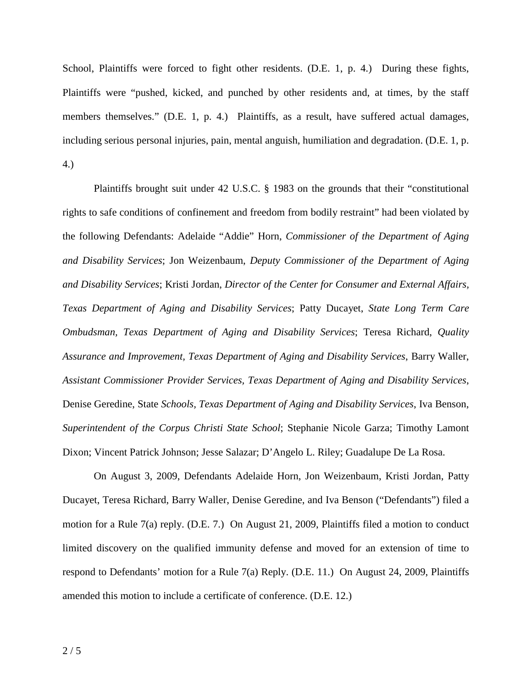School, Plaintiffs were forced to fight other residents. (D.E. 1, p. 4.) During these fights, Plaintiffs were "pushed, kicked, and punched by other residents and, at times, by the staff members themselves." (D.E. 1, p. 4.) Plaintiffs, as a result, have suffered actual damages, including serious personal injuries, pain, mental anguish, humiliation and degradation. (D.E. 1, p. 4.)

Plaintiffs brought suit under 42 U.S.C. § 1983 on the grounds that their "constitutional rights to safe conditions of confinement and freedom from bodily restraint" had been violated by the following Defendants: Adelaide "Addie" Horn, *Commissioner of the Department of Aging and Disability Services*; Jon Weizenbaum, *Deputy Commissioner of the Department of Aging and Disability Services*; Kristi Jordan, *Director of the Center for Consumer and External Affairs, Texas Department of Aging and Disability Services*; Patty Ducayet, *State Long Term Care Ombudsman, Texas Department of Aging and Disability Services*; Teresa Richard, *Quality Assurance and Improvement, Texas Department of Aging and Disability Services*, Barry Waller, *Assistant Commissioner Provider Services, Texas Department of Aging and Disability Services*, Denise Geredine, State *Schools, Texas Department of Aging and Disability Services*, Iva Benson, *Superintendent of the Corpus Christi State School*; Stephanie Nicole Garza; Timothy Lamont Dixon; Vincent Patrick Johnson; Jesse Salazar; D'Angelo L. Riley; Guadalupe De La Rosa.

On August 3, 2009, Defendants Adelaide Horn, Jon Weizenbaum, Kristi Jordan, Patty Ducayet, Teresa Richard, Barry Waller, Denise Geredine, and Iva Benson ("Defendants") filed a motion for a Rule 7(a) reply. (D.E. 7.) On August 21, 2009, Plaintiffs filed a motion to conduct limited discovery on the qualified immunity defense and moved for an extension of time to respond to Defendants' motion for a Rule 7(a) Reply. (D.E. 11.) On August 24, 2009, Plaintiffs amended this motion to include a certificate of conference. (D.E. 12.)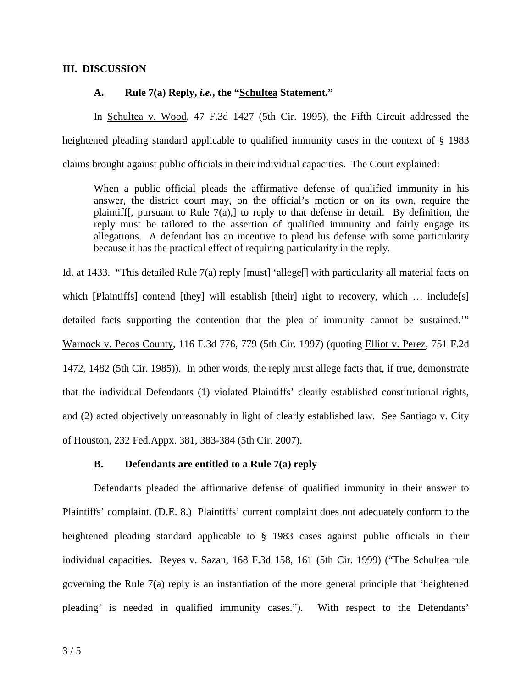#### **III. DISCUSSION**

#### **A. Rule 7(a) Reply,** *i.e.***, the "Schultea Statement."**

In Schultea v. Wood, 47 F.3d 1427 (5th Cir. 1995), the Fifth Circuit addressed the heightened pleading standard applicable to qualified immunity cases in the context of § 1983 claims brought against public officials in their individual capacities. The Court explained:

When a public official pleads the affirmative defense of qualified immunity in his answer, the district court may, on the official's motion or on its own, require the plaintiff[, pursuant to Rule 7(a),] to reply to that defense in detail. By definition, the reply must be tailored to the assertion of qualified immunity and fairly engage its allegations. A defendant has an incentive to plead his defense with some particularity because it has the practical effect of requiring particularity in the reply.

Id. at 1433. "This detailed Rule 7(a) reply [must] 'allege[] with particularity all material facts on which [Plaintiffs] contend [they] will establish [their] right to recovery, which ... include[s] detailed facts supporting the contention that the plea of immunity cannot be sustained.'" Warnock v. Pecos County, 116 F.3d 776, 779 (5th Cir. 1997) (quoting Elliot v. Perez, 751 F.2d 1472, 1482 (5th Cir. 1985)). In other words, the reply must allege facts that, if true, demonstrate that the individual Defendants (1) violated Plaintiffs' clearly established constitutional rights, and (2) acted objectively unreasonably in light of clearly established law. See Santiago v. City of Houston, 232 Fed.Appx. 381, 383-384 (5th Cir. 2007).

#### **B. Defendants are entitled to a Rule 7(a) reply**

 Defendants pleaded the affirmative defense of qualified immunity in their answer to Plaintiffs' complaint. (D.E. 8.) Plaintiffs' current complaint does not adequately conform to the heightened pleading standard applicable to § 1983 cases against public officials in their individual capacities. Reyes v. Sazan, 168 F.3d 158, 161 (5th Cir. 1999) ("The Schultea rule governing the Rule 7(a) reply is an instantiation of the more general principle that 'heightened pleading' is needed in qualified immunity cases."). With respect to the Defendants'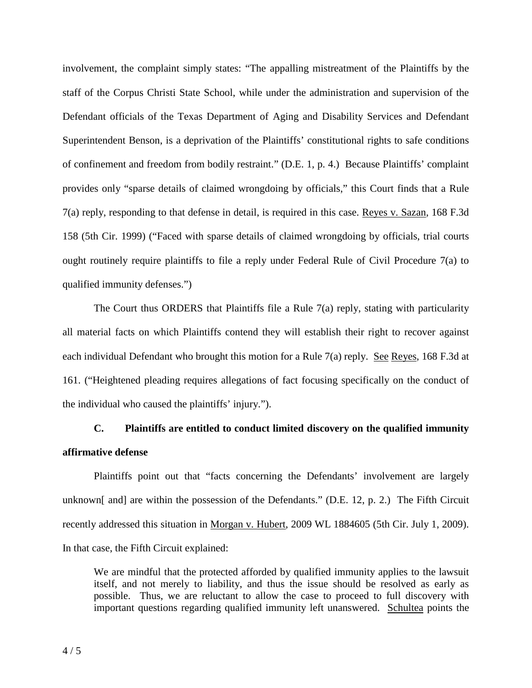involvement, the complaint simply states: "The appalling mistreatment of the Plaintiffs by the staff of the Corpus Christi State School, while under the administration and supervision of the Defendant officials of the Texas Department of Aging and Disability Services and Defendant Superintendent Benson, is a deprivation of the Plaintiffs' constitutional rights to safe conditions of confinement and freedom from bodily restraint." (D.E. 1, p. 4.) Because Plaintiffs' complaint provides only "sparse details of claimed wrongdoing by officials," this Court finds that a Rule 7(a) reply, responding to that defense in detail, is required in this case. Reyes v. Sazan, 168 F.3d 158 (5th Cir. 1999) ("Faced with sparse details of claimed wrongdoing by officials, trial courts ought routinely require plaintiffs to file a reply under Federal Rule of Civil Procedure 7(a) to qualified immunity defenses.")

The Court thus ORDERS that Plaintiffs file a Rule 7(a) reply, stating with particularity all material facts on which Plaintiffs contend they will establish their right to recover against each individual Defendant who brought this motion for a Rule 7(a) reply. See Reyes, 168 F.3d at 161. ("Heightened pleading requires allegations of fact focusing specifically on the conduct of the individual who caused the plaintiffs' injury.").

# **C. Plaintiffs are entitled to conduct limited discovery on the qualified immunity affirmative defense**

 Plaintiffs point out that "facts concerning the Defendants' involvement are largely unknown[ and] are within the possession of the Defendants." (D.E. 12, p. 2.) The Fifth Circuit recently addressed this situation in Morgan v. Hubert, 2009 WL 1884605 (5th Cir. July 1, 2009). In that case, the Fifth Circuit explained:

We are mindful that the protected afforded by qualified immunity applies to the lawsuit itself, and not merely to liability, and thus the issue should be resolved as early as possible. Thus, we are reluctant to allow the case to proceed to full discovery with important questions regarding qualified immunity left unanswered. Schultea points the